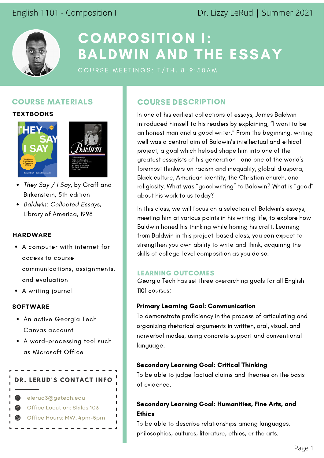English 1101 - Composition I Dr. Lizzy LeRud | Summer 2021



# COMPOSITION I: BALDWIN AND THE ESSAY

## COURSE MATERIALS

**TEXTBOOKS**





- They Say / I Say, by Graff and Birkenstein, 5th edition
- Baldwin: Collected Essays, Library of America, 1998

## **HARDWARE**

- A computer with internet for access to course communications, assignments, and evaluation
- A writing journal

## **SOFTWARE**

- An active Georgia Tech Canvas account
- A word-processing tool such as Microsoft Office



elerud3@gatech.edu Office Hours: MW, 4pm-5pm Office Location: Skiles 103

## COURSE DESCRIPTION

In one of his earliest collections of essays, James Baldwin introduced himself to his readers by explaining, "I want to be an honest man and a good writer." From the beginning, writing well was a central aim of Baldwin's intellectual and ethical project, a goal which helped shape him into one of the greatest essayists of his generation--and one of the world's foremost thinkers on racism and inequality, global diaspora, Black culture, American identity, the Christian church, and religiosity. What was "good writing" to Baldwin? What is "good" about his work to us today?

In this class, we will focus on a selection of Baldwin's essays, meeting him at various points in his writing life, to explore how Baldwin honed his thinking while honing his craft. Learning from Baldwin in this project-based class, you can expect to strengthen you own ability to write and think, acquiring the skills of college-level composition as you do so.

## LEARNING OUTCOMES

Georgia Tech has set three overarching goals for all English 1101 courses:

### Primary Learning Goal: Communication

To demonstrate proficiency in the process of articulating and organizing rhetorical arguments in written, oral, visual, and nonverbal modes, using concrete support and conventional language.

### Secondary Learning Goal: Critical Thinking

To be able to judge factual claims and theories on the basis of evidence.

## Secondary Learning Goal: Humanities, Fine Arts, and **Ethics**

To be able to describe relationships among languages, philosophies, cultures, literature, ethics, or the arts.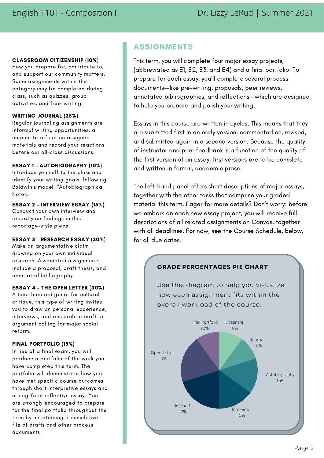#### CLASSROOM CITIZENSHIP (10%)

How you prepare for, contribute to, and support our community matters. Some assignments within this category may be completed during class, such as quizzes, group activities, and free-writing.

#### WRITING JOURNAL (25%)

Regular journaling assignments are informal writing opportunities, a chance to reflect on assigned materials and record your reactions before our all-class discussions.

#### ESSAY 1 - AUTOBIOGRAPHY (10%)

Introduce yourself to the class and identify your writing goals, following Baldwin's model, "Autobiographical Notes."

#### ESSAY 2 - INTERVIEW ESSAY (15%)

Conduct your own interview and record your findings in this reportage-style piece.

#### ESSAY 3 - RESEARCH ESSAY (30%)

Make an argumentative claim drawing on your own individual research. Associated assignments include a proposal, draft thesis, and annotated bibliography.

#### ESSAY 4 - THE OPEN LETTER (30%)

A time-honored genre for cultural critique, this type of writing invites you to draw on personal experience, interviews, and research to craft an argument calling for major social reform.

### FINAL PORTFOLIO (15%)

In lieu of a final exam, you will produce a portfolio of the work you have completed this term. The portfolio will demonstrate how you have met specific course outcomes through short interpretive essays and a long-form reflective essay. You are strongly encouraged to prepare for the final portfolio throughout the term by maintaining a cumulative file of drafts and other process documents.

## ASSIGNMENTS

This term, you will complete four major essay projects, (abbreviated as E1, E2, E3, and E4) and a final portfolio. To prepare for each essay, you'll complete several process documents--like pre-writing, proposals, peer reviews, annotated bibliographies, and reflections--which are designed to help you prepare and polish your writing.

Essays in this course are written in cycles. This means that they are submitted first in an early version, commented on, revised, and submitted again in a second version. Because the quality of instructor and peer feedback is a function of the quality of the first version of an essay, first versions are to be complete and written in formal, academic prose.

The left-hand panel offers short descriptions of major essays, together with the other tasks that comprise your graded material this term. Eager for more details? Don't worry: before we embark on each new essay project, you will receive full descriptions of all related assignments on Canvas, together with all deadlines. For now, see the Course Schedule, below, for all due dates.



## Page 2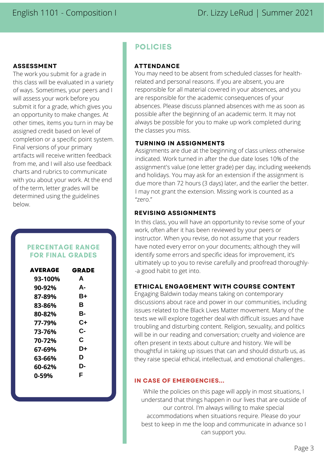### **ASSESSMENT**

The work you submit for a grade in this class will be evaluated in a variety of ways. Sometimes, your peers and I will assess your work before you submit it for a grade, which gives you an opportunity to make changes. At other times, items you turn in may be assigned credit based on level of completion or a specific point system. Final versions of your primary artifacts will receive written feedback from me, and I will also use feedback charts and rubrics to communicate with you about your work. At the end of the term, letter grades will be determined using the guidelines below.

## PERCENTAGE RANGE FOR FINAL GRADES

| AVERAGE | GRADE |
|---------|-------|
| 93-100% | A     |
| 90-92%  | А-    |
| 87-89%  | B+    |
| 83-86%  | R     |
| 80-82%  | в.    |
| 77-79%  | C+    |
| 73-76%  | C-    |
| 70-72%  | C     |
| 67-69%  | D+    |
| 63-66%  | D     |
| 60-62%  | D-    |
| በ-59%   | F     |

## POLICIES

## **ATTENDANCE**

You may need to be absent from scheduled classes for healthrelated and personal reasons. If you are absent, you are responsible for all material covered in your absences, and you are responsible for the academic consequences of your absences. Please discuss planned absences with me as soon as possible after the beginning of an academic term. It may not always be possible for you to make up work completed during the classes you miss.

### **TURNING IN ASSIGNMENTS**

Assignments are due at the beginning of class unless otherwise indicated. Work turned in after the due date loses 10% of the assignment's value (one letter grade) per day, including weekends and holidays. You may ask for an extension if the assignment is due more than 72 hours (3 days) later, and the earlier the better. I may not grant the extension. Missing work is counted as a "zero."

## **REVISING ASSIGNMENTS**

In this class, you will have an opportunity to revise some of your work, often after it has been reviewed by your peers or instructor. When you revise, do not assume that your readers have noted every error on your documents; although they will identify some errors and specific ideas for improvement, it's ultimately up to you to revise carefully and proofread thoroughly- -a good habit to get into.

## **ETHICAL ENGAGEMENT WITH COURSE CONTENT**

Engaging Baldwin today means taking on contemporary discussions about race and power in our communities, including issues related to the Black Lives Matter movement. Many of the texts we will explore together deal with difficult issues and have troubling and disturbing content. Religion, sexuality, and politics will be in our reading and conversation; cruelty and violence are often present in texts about culture and history. We will be thoughtful in taking up issues that can and should disturb us, as they raise special ethical, intellectual, and emotional challenges..

## **IN CASE OF EMERGENCIES...**

While the policies on this page will apply in most situations, I understand that things happen in our lives that are outside of our control. I'm always willing to make special accommodations when situations require. Please do your best to keep in me the loop and communicate in advance so I can support you.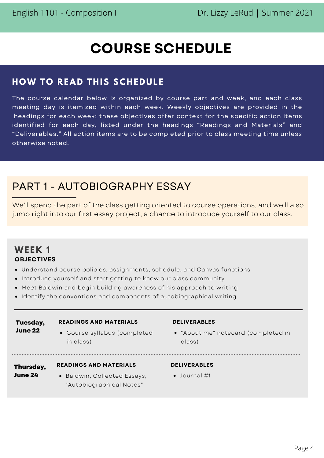# **COURSE SCHEDULE**

## **H OW T O R EAD THIS SCHE DUL E**

The course calendar below is organized by course part and week, and each class meeting day is itemized within each week. Weekly objectives are provided in the headings for each week; these objectives offer context for the specific action items identified for each day, listed under the headings "Readings and Materials" and "Deliverables." All action items are to be completed prior to class meeting time unless otherwise noted.

# PART 1 - AUTOBIOGRAPHY ESSAY

We'll spend the part of the class getting oriented to course operations, and we'll also jump right into our first essay project, a chance to introduce yourself to our class.

## **WE EK 1 OBJECTIVES**

- Understand course policies, assignments, schedule, and Canvas functions
- Introduce yourself and start getting to know our class community
- Meet Baldwin and begin building awareness of his approach to writing
- Identify the conventions and components of autobiographical writing

| Tuesday,             | <b>READINGS AND MATERIALS</b>                               |  |
|----------------------|-------------------------------------------------------------|--|
| June 22              | • Course syllabus (completed<br>in class)                   |  |
| Thursday,<br>June 24 | <b>READINGS AND MATERIALS</b><br>• Raldwin Collected Essays |  |

• Baldwin, Collected Essays, "Autobiographical Notes"

### **DELIVERABLES**

- "About me" notecard (completed in class)
- 
- **DELIVERABLES**
- Journal #1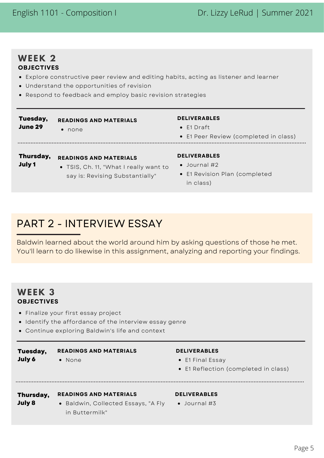## English 1101 - Composition I Dr. Lizzy LeRud | Summer 2021

## **WE EK 2 OBJECTIVES**

- Explore constructive peer review and editing habits, acting as listener and learner
- Understand the opportunities of revision
- Respond to feedback and employ basic revision strategies

#### **Tuesday, READINGS AND MATERIALS June 29** • none

### **Thursday, READINGS AND MATERIALS**

- **July 1**
- TSIS, Ch. 11, "What I really want to say is: Revising Substantially"

## **DELIVERABLES**

- E1 Draft
- E1 Peer Review (completed in class)
- 

#### **DELIVERABLES**

- Journal #2
- E1 Revision Plan (completed in class)

# PART 2 - INTERVIEW ESSAY

Baldwin learned about the world around him by asking questions of those he met. You'll learn to do likewise in this assignment, analyzing and reporting your findings.

## **WE EK 3 OBJECTIVES**

- Finalize your first essay project
- Identify the affordance of the interview essay genre
- Continue exploring Baldwin's life and context

#### • None **READINGS AND MATERIALS Tuesday, July 6**

### **DELIVERABLES**

- E1 Final Essay
- E1 Reflection (completed in class)

#### **Thursday, READINGS AND MATERIALS July 8**

• Baldwin, Collected Essays, "A Fly in Buttermilk"

## **DELIVERABLES**

Journal #3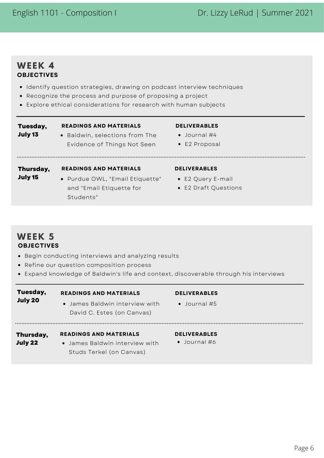## **WE EK 4 OBJECTIVES**

- Identify question strategies, drawing on podcast interview techniques
- Recognize the process and purpose of proposing a project
- Explore ethical considerations for research with human subjects

## **Tuesday,**

## **READINGS AND MATERIALS**

- **July 13**
- Baldwin, selections from The Evidence of Things Not Seen

### **DELIVERABLES**

- Journal #4
- E2 Proposal

## **Thursday, READINGS AND MATERIALS**

• Purdue OWL, "Email Etiquette" and "Email Etiquette for Students" **July 15**

### **DELIVERABLES**

- E2 Query E-mail
	- E2 Draft Questions

## **WE EK 5 OBJECTIVES**

- Begin conducting interviews and analyzing results
- Refine our question composition process
- Expand knowledge of Baldwin's life and context, discoverable through his interviews

| Tuesday,<br>July 20  | <b>READINGS AND MATERIALS</b><br>• James Baldwin interview with<br>David C. Estes (on Canvas) | <b>DELIVERABLES</b><br>$\bullet$ Journal #5 |
|----------------------|-----------------------------------------------------------------------------------------------|---------------------------------------------|
| Thursday,<br>July 22 | <b>READINGS AND MATERIALS</b><br>• James Baldwin interview with<br>Studs Terkel (on Canvas)   | <b>DELIVERABLES</b><br>$\bullet$ Journal #6 |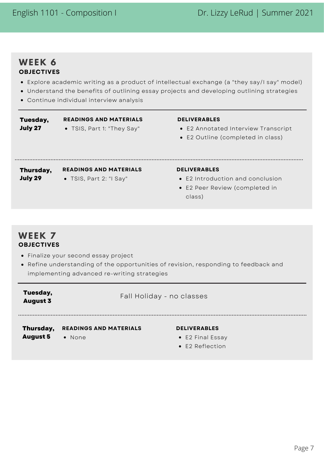## **WE EK 6 OBJECTIVES**

- Explore academic writing as a product of intellectual exchange (a "they say/I say" model)
- Understand the benefits of outlining essay projects and developing outlining strategies
- Continue individual interview analysis

#### **Tuesday, July 27**

TSIS, Part 1: "They Say" **READINGS AND MATERIALS**

### **DELIVERABLES**

- E2 Annotated Interview Transcript
- E2 Outline (completed in class)

**Thursday, READINGS AND MATERIALS**

**July 29**

TSIS, Part 2: "I Say"

### **DELIVERABLES**

- E2 Introduction and conclusion
- E2 Peer Review (completed in class)

## **WE EK 7 OBJECTIVES**

**Tuesday, August 3**

- Finalize your second essay project
- Refine understanding of the opportunities of revision, responding to feedback and implementing advanced re-writing strategies

Fall Holiday - no classes

#### • None **READINGS AND MATERIALS DELIVERABLES Thursday, August 5**

- E2 Final Essay
- E2 Reflection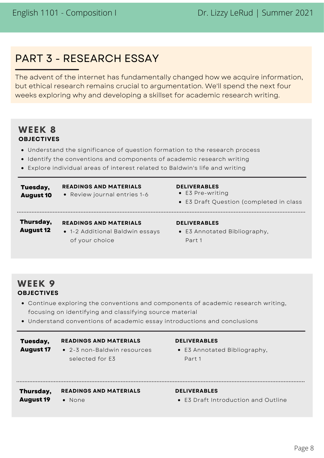# PART 3 - RESEARCH ESSAY

The advent of the internet has fundamentally changed how we acquire information, but ethical research remains crucial to argumentation. We'll spend the next four weeks exploring why and developing a skillset for academic research writing.

## **WE EK 8 OBJECTIVES**

- Understand the significance of question formation to the research process
- Identify the conventions and components of academic research writing
- Explore individual areas of interest related to Baldwin's life and writing

#### Review journal entries 1-6 **READINGS AND MATERIALS DELIVERABLES Tuesday, August 10**

- E3 Pre-writing
- E3 Draft Question (completed in class
- 

## **Thursday,**

1-2 Additional Baldwin essays of your choice **August 12**

### **READINGS AND MATERIALS DELIVERABLES**

E3 Annotated Bibliography, Part 1

## **WE EK 9 OBJECTIVES**

**August 19**

- Continue exploring the conventions and components of academic research writing, focusing on identifying and classifying source material
- Understand conventions of academic essay introductions and conclusions

#### **READINGS AND MATERIALS DELIVERABLES Tuesday, August 17**

## 2-3 non-Baldwin resources

selected for E3

E3 Annotated Bibliography, Part 1

**READINGS AND MATERIALS DELIVERABLES Thursday,**

None

E3 Draft Introduction and Outline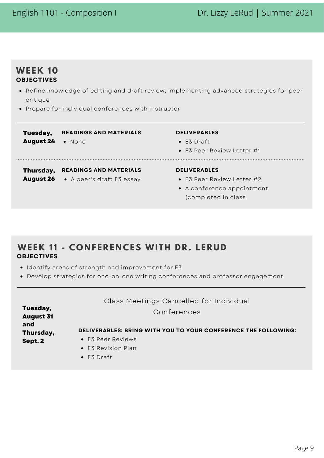## **WE EK 1 0 OBJECTIVES**

- Refine knowledge of editing and draft review, implementing advanced strategies for peer critique
- Prepare for individual conferences with instructor

| Tuesday,<br><b>August 24</b>  | <b>READINGS AND MATERIALS</b><br>• None                    | <b>DELIVERABLES</b><br>$\bullet$ E3 Draft<br>• E3 Peer Review Letter #1                                         |
|-------------------------------|------------------------------------------------------------|-----------------------------------------------------------------------------------------------------------------|
| Thursday,<br><b>August 26</b> | <b>READINGS AND MATERIALS</b><br>• A peer's draft E3 essay | <b>DELIVERABLES</b><br>$\bullet$ F3 Peer Review Letter #2<br>• A conference appointment<br>(completed in class) |

## **WE EK 1 1 - C O N F E R E N CES WITH DR . L E RUD OBJECTIVES**

- Identify areas of strength and improvement for E3
- Develop strategies for one-on-one writing conferences and professor engagement

|                              | Class Meetings Cancelled for Individual                        |  |
|------------------------------|----------------------------------------------------------------|--|
| Tuesday,<br><b>August 31</b> | Conferences                                                    |  |
| and<br>Thursday,             | DELIVERABLES: BRING WITH YOU TO YOUR CONFERENCE THE FOLLOWING: |  |
| Sept. 2                      | • E3 Peer Reviews                                              |  |
|                              | • E3 Revision Plan                                             |  |
|                              | --- - -                                                        |  |

E3 Draft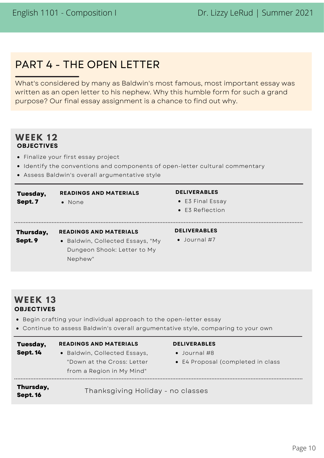# PART 4 - THE OPEN LETTER

What's considered by many as Baldwin's most famous, most important essay was written as an open letter to his nephew. Why this humble form for such a grand purpose? Our final essay assignment is a chance to find out why.

## **WE EK 12 OBJECTIVES**

- Finalize your first essay project
- **Identify the conventions and components of open-letter cultural commentary**
- Assess Baldwin's overall argumentative style

| Tuesday,<br>Sept. 7  | <b>READINGS AND MATERIALS</b><br>• None                                                                     | <b>DELIVERABLES</b><br>• E3 Final Essay<br>$\bullet$ E3 Reflection |
|----------------------|-------------------------------------------------------------------------------------------------------------|--------------------------------------------------------------------|
| Thursday,<br>Sept. 9 | <b>READINGS AND MATERIALS</b><br>• Baldwin, Collected Essays, "My<br>Dungeon Shook: Letter to My<br>Nephew" | <b>DELIVERABLES</b><br>$\bullet$ Journal #7                        |

## **WE EK 13 OBJECTIVES**

- Begin crafting your individual approach to the open-letter essay
- Continue to assess Baldwin's overall argumentative style, comparing to your own

| Tuesday,                     | <b>READINGS AND MATERIALS</b>     | <b>DELIVERABLES</b>               |
|------------------------------|-----------------------------------|-----------------------------------|
| <b>Sept. 14</b>              | • Baldwin, Collected Essays,      | $\bullet$ Journal #8              |
|                              | "Down at the Cross: Letter        | • E4 Proposal (completed in class |
|                              | from a Region in My Mind"         |                                   |
| Thursday,<br><b>Sept. 16</b> | Thanksgiving Holiday - no classes |                                   |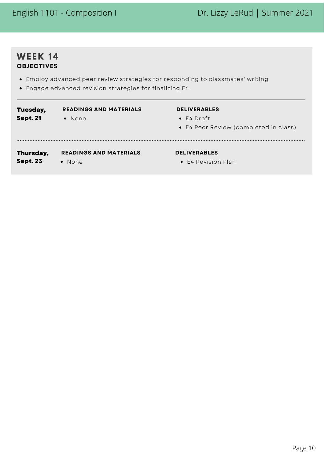## **WE EK 14 OBJECTIVES**

- Employ advanced peer review strategies for responding to classmates' writing
- Engage advanced revision strategies for finalizing E4

| Tuesday,<br><b>Sept. 21</b> | <b>READINGS AND MATERIALS</b><br>$\bullet$ None | <b>DELIVERABLES</b><br>$\bullet$ E4 Draft<br>• E4 Peer Review (completed in class) |
|-----------------------------|-------------------------------------------------|------------------------------------------------------------------------------------|
| Thursday,                   | <b>READINGS AND MATERIALS</b>                   | <b>DELIVERABLES</b>                                                                |
| <b>Sept. 23</b>             | $\bullet$ None                                  | • E4 Revision Plan                                                                 |